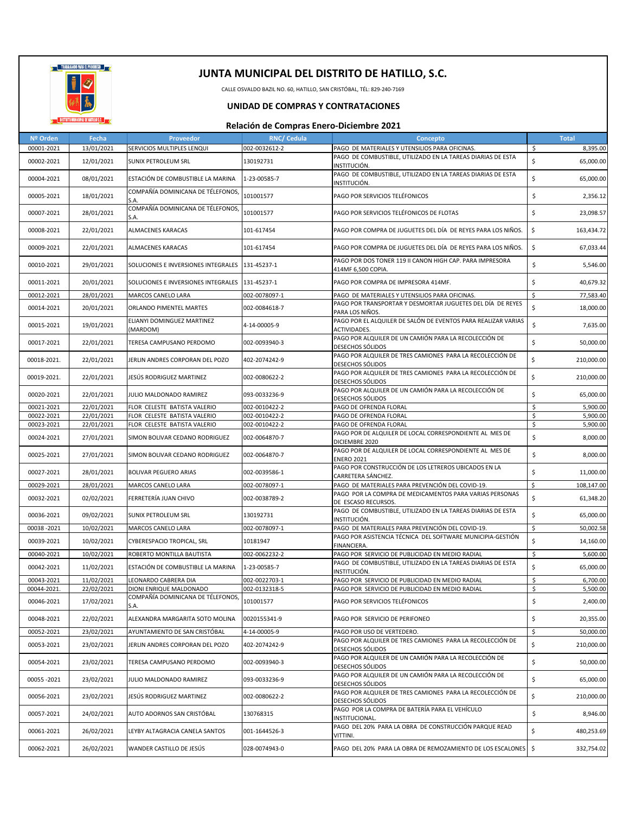

CALLE OSVALDO BAZIL NO. 60, HATILLO, SAN CRISTÓBAL, TÉL: 829-240-7169

### **UNIDAD DE COMPRAS Y CONTRATACIONES**

| Nº Orden     | Fecha      | Proveedor                                 | <b>RNC/ Cedula</b> | Concepto                                                                         | Total              |
|--------------|------------|-------------------------------------------|--------------------|----------------------------------------------------------------------------------|--------------------|
| 00001-2021   | 13/01/2021 | SERVICIOS MULTIPLES LENQUI                | 002-0032612-2      | PAGO DE MATERIALES Y UTENSILIOS PARA OFICINAS.                                   | \$<br>8,395.00     |
| 00002-2021   | 12/01/2021 | <b>SUNIX PETROLEUM SRL</b>                | 130192731          | PAGO DE COMBUSTIBLE, UTILIZADO EN LA TAREAS DIARIAS DE ESTA                      | \$<br>65,000.00    |
|              |            |                                           |                    | INSTITUCIÓN.                                                                     |                    |
| 00004-2021   | 08/01/2021 | ESTACIÓN DE COMBUSTIBLE LA MARINA         | 1-23-00585-7       | PAGO DE COMBUSTIBLE, UTILIZADO EN LA TAREAS DIARIAS DE ESTA<br>INSTITUCIÓN.      | \$<br>65,000.00    |
| 00005-2021   | 18/01/2021 | COMPAÑÍA DOMINICANA DE TÉLEFONOS,<br>S.A. | 101001577          | PAGO POR SERVICIOS TELÉFONICOS                                                   | \$<br>2,356.12     |
| 00007-2021   | 28/01/2021 | COMPAÑÍA DOMINICANA DE TÉLEFONOS,<br>S.A. | 101001577          | PAGO POR SERVICIOS TELÉFONICOS DE FLOTAS                                         | \$<br>23,098.57    |
| 00008-2021   | 22/01/2021 | ALMACENES KARACAS                         | 101-617454         | PAGO POR COMPRA DE JUGUETES DEL DÍA DE REYES PARA LOS NIÑOS.                     | \$<br>163,434.72   |
| 00009-2021   | 22/01/2021 | <b>ALMACENES KARACAS</b>                  | 101-617454         | PAGO POR COMPRA DE JUGUETES DEL DÍA DE REYES PARA LOS NIÑOS.                     | \$<br>67,033.44    |
| 00010-2021   | 29/01/2021 | SOLUCIONES E INVERSIONES INTEGRALES       | 131-45237-1        | PAGO POR DOS TONER 119 II CANON HIGH CAP. PARA IMPRESORA<br>414MF 6,500 COPIA.   | \$<br>5,546.00     |
| 00011-2021   | 20/01/2021 | SOLUCIONES E INVERSIONES INTEGRALES       | 131-45237-1        | PAGO POR COMPRA DE IMPRESORA 414MF.                                              | \$<br>40,679.32    |
| 00012-2021   | 28/01/2021 | MARCOS CANELO LARA                        | 002-0078097-1      | PAGO DE MATERIALES Y UTENSILIOS PARA OFICINAS.                                   | \$<br>77,583.40    |
| 00014-2021   | 20/01/2021 | ORLANDO PIMENTEL MARTES                   | 002-0084618-7      | PAGO POR TRANSPORTAR Y DESMORTAR JUGUETES DEL DÍA DE REYES<br>PARA LOS NIÑOS.    | \$<br>18,000.00    |
| 00015-2021   | 19/01/2021 | ELIANYI DOMINGUEZ MARTINEZ<br>(MARDOM)    | 4-14-00005-9       | PAGO POR EL ALQUILER DE SALÓN DE EVENTOS PARA REALIZAR VARIAS<br>ACTIVIDADES.    | \$<br>7,635.00     |
| 00017-2021   | 22/01/2021 | TERESA CAMPUSANO PERDOMO                  | 002-0093940-3      | PAGO POR ALQUILER DE UN CAMIÓN PARA LA RECOLECCIÓN DE<br>DESECHOS SÓLIDOS        | \$<br>50,000.00    |
| 00018-2021.  | 22/01/2021 | JERLIN ANDRES CORPORAN DEL POZO           | 402-2074242-9      | PAGO POR ALQUILER DE TRES CAMIONES PARA LA RECOLECCIÓN DE                        | \$<br>210,000.00   |
| 00019-2021.  | 22/01/2021 | JESÚS RODRIGUEZ MARTINEZ                  | 002-0080622-2      | DESECHOS SÓLIDOS<br>PAGO POR ALQUILER DE TRES CAMIONES PARA LA RECOLECCIÓN DE    | \$<br>210,000.00   |
| 00020-2021   | 22/01/2021 | JULIO MALDONADO RAMIREZ                   | 093-0033236-9      | <b>DESECHOS SÓLIDOS</b><br>PAGO POR ALQUILER DE UN CAMIÓN PARA LA RECOLECCIÓN DE | \$<br>65,000.00    |
| 00021-2021   | 22/01/2021 | FLOR CELESTE BATISTA VALERIO              | 002-0010422-2      | DESECHOS SÓLIDOS                                                                 | \$<br>5,900.00     |
| 00022-2021   | 22/01/2021 | FLOR CELESTE BATISTA VALERIO              | 002-0010422-2      | PAGO DE OFRENDA FLORAL<br>PAGO DE OFRENDA FLORAL                                 | \$<br>5,900.00     |
| 00023-2021   | 22/01/2021 | FLOR CELESTE BATISTA VALERIO              | 002-0010422-2      | PAGO DE OFRENDA FLORAL                                                           | \$<br>5,900.00     |
| 00024-2021   | 27/01/2021 | SIMON BOLIVAR CEDANO RODRIGUEZ            | 002-0064870-7      | PAGO POR DE ALQUILER DE LOCAL CORRESPONDIENTE AL MES DE<br>DICIEMBRE 2020        | \$<br>8,000.00     |
| 00025-2021   | 27/01/2021 | SIMON BOLIVAR CEDANO RODRIGUEZ            | 002-0064870-7      | PAGO POR DE ALQUILER DE LOCAL CORRESPONDIENTE AL MES DE<br><b>ENERO 2021</b>     | \$<br>8,000.00     |
| 00027-2021   | 28/01/2021 | <b>BOLIVAR PEGUERO ARIAS</b>              | 002-0039586-1      | PAGO POR CONSTRUCCIÓN DE LOS LETREROS UBICADOS EN LA<br>CARRETERA SÁNCHEZ.       | \$<br>11,000.00    |
| 00029-2021   | 28/01/2021 | MARCOS CANELO LARA                        | 002-0078097-1      | PAGO DE MATERIALES PARA PREVENCIÓN DEL COVID-19.                                 | \$<br>108,147.00   |
| 00032-2021   | 02/02/2021 | FERRETERÍA JUAN CHIVO                     | 002-0038789-2      | PAGO POR LA COMPRA DE MEDICAMENTOS PARA VARIAS PERSONAS<br>DE ESCASO RECURSOS.   | \$<br>61,348.20    |
| 00036-2021   | 09/02/2021 | SUNIX PETROLEUM SRL                       | 130192731          | PAGO DE COMBUSTIBLE, UTILIZADO EN LA TAREAS DIARIAS DE ESTA<br>INSTITUCIÓN.      | \$<br>65,000.00    |
| 00038 - 2021 | 10/02/2021 | MARCOS CANELO LARA                        | 002-0078097-1      | PAGO DE MATERIALES PARA PREVENCIÓN DEL COVID-19.                                 | \$<br>50,002.58    |
| 00039-2021   | 10/02/2021 | CYBERESPACIO TROPICAL, SRL                | 10181947           | PAGO POR ASISTENCIA TÉCNICA DEL SOFTWARE MUNICIPIA-GESTIÓN<br>FINANCIERA.        | \$<br>14,160.00    |
| 00040-2021   | 10/02/2021 | ROBERTO MONTILLA BAUTISTA                 | 002-0062232-2      | PAGO POR SERVICIO DE PUBLICIDAD EN MEDIO RADIAL                                  | \$<br>5,600.00     |
| 00042-2021   | 11/02/2021 | ESTACIÓN DE COMBUSTIBLE LA MARINA         | 1-23-00585-7       | PAGO DE COMBUSTIBLE, UTILIZADO EN LA TAREAS DIARIAS DE ESTA<br>INSTITUCIÓN.      | \$<br>65,000.00    |
| 00043-2021   | 11/02/2021 | LEONARDO CABRERA DIA                      | 002-0022703-1      | PAGO POR SERVICIO DE PUBLICIDAD EN MEDIO RADIAL                                  | \$<br>6,700.00     |
| 00044-2021.  | 22/02/2021 | DIONI ENRIQUE MALDONADO                   | 002-0132318-5      | PAGO POR SERVICIO DE PUBLICIDAD EN MEDIO RADIAL                                  | \$<br>5,500.00     |
| 00046-2021   | 17/02/2021 | COMPAÑÍA DOMINICANA DE TÉLEFONOS,<br>S.A. | 101001577          | PAGO POR SERVICIOS TELÉFONICOS                                                   | \$<br>2,400.00     |
| 00048-2021   | 22/02/2021 | ALEXANDRA MARGARITA SOTO MOLINA           | 0020155341-9       | PAGO POR SERVICIO DE PERIFONEO                                                   | \$<br>20,355.00    |
| 00052-2021   | 23/02/2021 | AYUNTAMIENTO DE SAN CRISTÓBAL             | 4-14-00005-9       | PAGO POR USO DE VERTEDERO.                                                       | \$<br>50,000.00    |
| 00053-2021   | 23/02/2021 | JERLIN ANDRES CORPORAN DEL POZO           | 402-2074242-9      | PAGO POR ALQUILER DE TRES CAMIONES PARA LA RECOLECCIÓN DE<br>DESECHOS SÓLIDOS    | \$<br>210,000.00   |
| 00054-2021   | 23/02/2021 | TERESA CAMPUSANO PERDOMO                  | 002-0093940-3      | PAGO POR ALQUILER DE UN CAMIÓN PARA LA RECOLECCIÓN DE<br>DESECHOS SÓLIDOS        | \$<br>50,000.00    |
| 00055 - 2021 | 23/02/2021 | JULIO MALDONADO RAMIREZ                   | 093-0033236-9      | PAGO POR ALQUILER DE UN CAMIÓN PARA LA RECOLECCIÓN DE<br>DESECHOS SÓLIDOS        | \$<br>65,000.00    |
| 00056-2021   | 23/02/2021 | JESÚS RODRIGUEZ MARTINEZ                  | 002-0080622-2      | PAGO POR ALQUILER DE TRES CAMIONES PARA LA RECOLECCIÓN DE<br>DESECHOS SÓLIDOS    | \$<br>210,000.00   |
| 00057-2021   | 24/02/2021 | AUTO ADORNOS SAN CRISTÓBAL                | 130768315          | PAGO POR LA COMPRA DE BATERÍA PARA EL VEHÍCULO<br>INSTITUCIONAL.                 | \$<br>8,946.00     |
| 00061-2021   | 26/02/2021 | LEYBY ALTAGRACIA CANELA SANTOS            | 001-1644526-3      | PAGO DEL 20% PARA LA OBRA DE CONSTRUCCIÓN PARQUE READ<br>VITTINI.                | \$<br>480,253.69   |
| 00062-2021   | 26/02/2021 | WANDER CASTILLO DE JESÚS                  | 028-0074943-0      | PAGO DEL 20% PARA LA OBRA DE REMOZAMIENTO DE LOS ESCALONES                       | - \$<br>332,754.02 |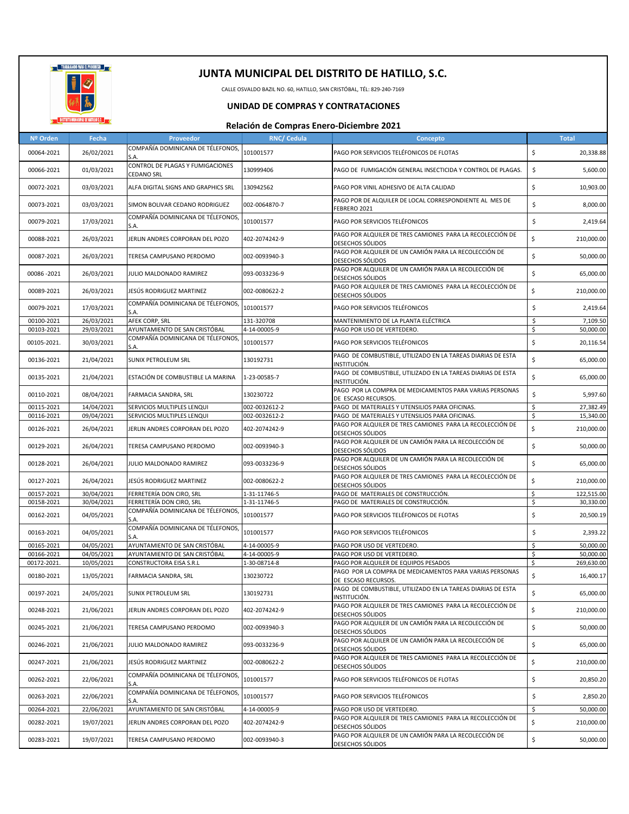

CALLE OSVALDO BAZIL NO. 60, HATILLO, SAN CRISTÓBAL, TÉL: 829-240-7169

## **UNIDAD DE COMPRAS Y CONTRATACIONES**

| COMPAÑÍA DOMINICANA DE TÉLEFONOS,<br>101001577<br>\$<br>00064-2021<br>26/02/2021<br>PAGO POR SERVICIOS TELÉFONICOS DE FLOTAS<br>S.A.<br>CONTROL DE PLAGAS Y FUMIGACIONES<br>01/03/2021<br>130999406<br>PAGO DE FUMIGACIÓN GENERAL INSECTICIDA Y CONTROL DE PLAGAS.<br>\$<br>00066-2021<br><b>CEDANO SRL</b><br>03/03/2021<br>130942562<br>\$<br>00072-2021<br>ALFA DIGITAL SIGNS AND GRAPHICS SRL<br>PAGO POR VINIL ADHESIVO DE ALTA CALIDAD<br>PAGO POR DE ALQUILER DE LOCAL CORRESPONDIENTE AL MES DE<br>03/03/2021<br>002-0064870-7<br>\$<br>00073-2021<br>SIMON BOLIVAR CEDANO RODRIGUEZ<br>FEBRERO 2021<br>COMPAÑÍA DOMINICANA DE TÉLEFONOS,<br>101001577<br>PAGO POR SERVICIOS TELÉFONICOS<br>\$<br>00079-2021<br>17/03/2021<br>S.A.<br>PAGO POR ALQUILER DE TRES CAMIONES PARA LA RECOLECCIÓN DE<br>\$<br>00088-2021<br>26/03/2021<br>JERLIN ANDRES CORPORAN DEL POZO<br>402-2074242-9<br>DESECHOS SÓLIDOS<br>PAGO POR ALQUILER DE UN CAMIÓN PARA LA RECOLECCIÓN DE<br>\$<br>00087-2021<br>26/03/2021<br>TERESA CAMPUSANO PERDOMO<br>002-0093940-3<br>DESECHOS SÓLIDOS<br>PAGO POR ALQUILER DE UN CAMIÓN PARA LA RECOLECCIÓN DE<br>\$<br>26/03/2021<br>00086-2021<br>JULIO MALDONADO RAMIREZ<br>093-0033236-9<br>DESECHOS SÓLIDOS<br>PAGO POR ALQUILER DE TRES CAMIONES PARA LA RECOLECCIÓN DE<br>\$<br>26/03/2021<br>JESÚS RODRIGUEZ MARTINEZ<br>002-0080622-2<br>00089-2021<br>DESECHOS SÓLIDOS<br>COMPAÑÍA DOMINICANA DE TÉLEFONOS,<br>101001577<br>PAGO POR SERVICIOS TELÉFONICOS<br>\$<br>00079-2021<br>17/03/2021<br>S.A.<br>AFEK CORP, SRL<br>\$<br>00100-2021<br>26/03/2021<br>131-320708<br>MANTENIMIENTO DE LA PLANTA ELÉCTRICA<br>\$<br>29/03/2021<br>AYUNTAMIENTO DE SAN CRISTÓBAL<br>4-14-00005-9<br>PAGO POR USO DE VERTEDERO.<br>00103-2021<br>COMPAÑÍA DOMINICANA DE TÉLEFONOS,<br>30/03/2021<br>101001577<br>PAGO POR SERVICIOS TELÉFONICOS<br>\$<br>00105-2021.<br>S.A.<br>PAGO DE COMBUSTIBLE, UTILIZADO EN LA TAREAS DIARIAS DE ESTA<br>\$<br>21/04/2021<br><b>SUNIX PETROLEUM SRL</b><br>130192731<br>00136-2021<br>INSTITUCIÓN.<br>PAGO DE COMBUSTIBLE, UTILIZADO EN LA TAREAS DIARIAS DE ESTA<br>\$<br>1-23-00585-7<br>00135-2021<br>21/04/2021<br>ESTACIÓN DE COMBUSTIBLE LA MARINA<br>INSTITUCIÓN.<br>PAGO POR LA COMPRA DE MEDICAMENTOS PARA VARIAS PERSONAS<br>\$<br>08/04/2021<br>130230722<br>00110-2021<br>FARMACIA SANDRA, SRL<br>DE ESCASO RECURSOS.<br>\$<br>00115-2021<br>14/04/2021<br>SERVICIOS MULTIPLES LENQUI<br>002-0032612-2<br>PAGO DE MATERIALES Y UTENSILIOS PARA OFICINAS.<br>27,382.49<br>00116-2021<br>09/04/2021<br>SERVICIOS MULTIPLES LENQUI<br>002-0032612-2<br>PAGO DE MATERIALES Y UTENSILIOS PARA OFICINAS.<br>\$<br>15,340.00<br>PAGO POR ALQUILER DE TRES CAMIONES PARA LA RECOLECCIÓN DE<br>\$<br>26/04/2021<br>00126-2021<br>JERLIN ANDRES CORPORAN DEL POZO<br>402-2074242-9<br>DESECHOS SÓLIDOS<br>PAGO POR ALQUILER DE UN CAMIÓN PARA LA RECOLECCIÓN DE<br>\$<br>26/04/2021<br>00129-2021<br>TERESA CAMPUSANO PERDOMO<br>002-0093940-3<br>DESECHOS SÓLIDOS<br>PAGO POR ALQUILER DE UN CAMIÓN PARA LA RECOLECCIÓN DE<br>\$<br>00128-2021<br>26/04/2021<br>JULIO MALDONADO RAMIREZ<br>093-0033236-9<br>DESECHOS SÓLIDOS<br>PAGO POR ALQUILER DE TRES CAMIONES PARA LA RECOLECCIÓN DE<br>\$<br>26/04/2021<br>JESÚS RODRIGUEZ MARTINEZ<br>00127-2021<br>002-0080622-2<br>DESECHOS SÓLIDOS<br>122,515.00<br>00157-2021<br>30/04/2021<br>FERRETERÍA DON CIRO, SRL<br>1-31-11746-5<br>PAGO DE MATERIALES DE CONSTRUCCIÓN.<br>\$<br>\$<br>00158-2021<br>30/04/2021<br>FERRETERÍA DON CIRO, SRL<br>1-31-11746-5<br>PAGO DE MATERIALES DE CONSTRUCCIÓN.<br>30,330.00<br>COMPAÑÍA DOMINICANA DE TÉLEFONOS,<br>04/05/2021<br>101001577<br>PAGO POR SERVICIOS TELÉFONICOS DE FLOTAS<br>\$<br>00162-2021<br>S.A.<br>COMPAÑÍA DOMINICANA DE TÉLEFONOS,<br>04/05/2021<br>101001577<br>PAGO POR SERVICIOS TELÉFONICOS<br>\$<br>00163-2021<br>S.A.<br>AYUNTAMIENTO DE SAN CRISTÓBAL<br>04/05/2021<br>4-14-00005-9<br>PAGO POR USO DE VERTEDERO.<br>\$<br>50,000.00<br>00165-2021<br>04/05/2021<br>AYUNTAMIENTO DE SAN CRISTÓBAL<br>\$<br>00166-2021<br>4-14-00005-9<br>PAGO POR USO DE VERTEDERO.<br>50,000.00<br>00172-2021.<br>10/05/2021<br>CONSTRUCTORA EISA S.R.L<br>1-30-08714-8<br>PAGO POR ALQUILER DE EQUIPOS PESADOS<br>\$<br>269,630.00<br>PAGO POR LA COMPRA DE MEDICAMENTOS PARA VARIAS PERSONAS<br>\$<br>00180-2021<br>13/05/2021<br>130230722<br>FARMACIA SANDRA, SRL<br>DE ESCASO RECURSOS.<br>PAGO DE COMBUSTIBLE, UTILIZADO EN LA TAREAS DIARIAS DE ESTA<br>24/05/2021<br>00197-2021<br>SUNIX PETROLEUM SRL<br>130192731<br>INSTITUCIÓN.<br>PAGO POR ALQUILER DE TRES CAMIONES PARA LA RECOLECCIÓN DE<br>\$<br>00248-2021<br>21/06/2021<br>JERLIN ANDRES CORPORAN DEL POZO<br>402-2074242-9<br>DESECHOS SÓLIDOS<br>PAGO POR ALQUILER DE UN CAMIÓN PARA LA RECOLECCIÓN DE<br>\$<br>00245-2021<br>21/06/2021<br>002-0093940-3<br>TERESA CAMPUSANO PERDOMO<br>DESECHOS SÓLIDOS<br>PAGO POR ALQUILER DE UN CAMIÓN PARA LA RECOLECCIÓN DE<br>\$<br>00246-2021<br>21/06/2021<br>JULIO MALDONADO RAMIREZ<br>093-0033236-9<br>DESECHOS SÓLIDOS<br>PAGO POR ALQUILER DE TRES CAMIONES PARA LA RECOLECCIÓN DE<br>\$<br>00247-2021<br>21/06/2021<br>JESÚS RODRIGUEZ MARTINEZ<br>002-0080622-2<br>DESECHOS SÓLIDOS<br>COMPAÑÍA DOMINICANA DE TÉLEFONOS,<br>101001577<br>PAGO POR SERVICIOS TELÉFONICOS DE FLOTAS<br>\$<br>00262-2021<br>22/06/2021<br>S.A.<br>COMPAÑÍA DOMINICANA DE TÉLEFONOS,<br>\$<br>22/06/2021<br>101001577<br>PAGO POR SERVICIOS TELÉFONICOS<br>00263-2021<br>S.A.<br>AYUNTAMIENTO DE SAN CRISTÓBAL<br>00264-2021<br>22/06/2021<br>4-14-00005-9<br>PAGO POR USO DE VERTEDERO.<br>\$<br>PAGO POR ALQUILER DE TRES CAMIONES PARA LA RECOLECCIÓN DE<br>\$<br>00282-2021<br>402-2074242-9<br>19/07/2021<br>JERLIN ANDRES CORPORAN DEL POZO<br>DESECHOS SÓLIDOS<br>PAGO POR ALQUILER DE UN CAMIÓN PARA LA RECOLECCIÓN DE<br>\$<br>00283-2021<br>19/07/2021<br>002-0093940-3<br>TERESA CAMPUSANO PERDOMO<br>DESECHOS SÓLIDOS | Nº Orden | Fecha | Proveedor | <b>RNC/ Cedula</b> | Concepto | <b>Total</b> |
|------------------------------------------------------------------------------------------------------------------------------------------------------------------------------------------------------------------------------------------------------------------------------------------------------------------------------------------------------------------------------------------------------------------------------------------------------------------------------------------------------------------------------------------------------------------------------------------------------------------------------------------------------------------------------------------------------------------------------------------------------------------------------------------------------------------------------------------------------------------------------------------------------------------------------------------------------------------------------------------------------------------------------------------------------------------------------------------------------------------------------------------------------------------------------------------------------------------------------------------------------------------------------------------------------------------------------------------------------------------------------------------------------------------------------------------------------------------------------------------------------------------------------------------------------------------------------------------------------------------------------------------------------------------------------------------------------------------------------------------------------------------------------------------------------------------------------------------------------------------------------------------------------------------------------------------------------------------------------------------------------------------------------------------------------------------------------------------------------------------------------------------------------------------------------------------------------------------------------------------------------------------------------------------------------------------------------------------------------------------------------------------------------------------------------------------------------------------------------------------------------------------------------------------------------------------------------------------------------------------------------------------------------------------------------------------------------------------------------------------------------------------------------------------------------------------------------------------------------------------------------------------------------------------------------------------------------------------------------------------------------------------------------------------------------------------------------------------------------------------------------------------------------------------------------------------------------------------------------------------------------------------------------------------------------------------------------------------------------------------------------------------------------------------------------------------------------------------------------------------------------------------------------------------------------------------------------------------------------------------------------------------------------------------------------------------------------------------------------------------------------------------------------------------------------------------------------------------------------------------------------------------------------------------------------------------------------------------------------------------------------------------------------------------------------------------------------------------------------------------------------------------------------------------------------------------------------------------------------------------------------------------------------------------------------------------------------------------------------------------------------------------------------------------------------------------------------------------------------------------------------------------------------------------------------------------------------------------------------------------------------------------------------------------------------------------------------------------------------------------------------------------------------------------------------------------------------------------------------------------------------------------------------------------------------------------------------------------------------------------------------------------------------------------------------------------------------------------------------------------------------------------------------------------------------------------------------------------------------------------------------------------------------------------------------------------------------------------------------------------------------------------------------------------------------------------------------------------------------------------------------------------------------------------------------------------------------------------------------------------------------------------------------------------------------------------------------------------------------------------------------------------------------------------------------------------------------------------------------------------------------------------------------------------------------------------------------------------------------------------------------|----------|-------|-----------|--------------------|----------|--------------|
|                                                                                                                                                                                                                                                                                                                                                                                                                                                                                                                                                                                                                                                                                                                                                                                                                                                                                                                                                                                                                                                                                                                                                                                                                                                                                                                                                                                                                                                                                                                                                                                                                                                                                                                                                                                                                                                                                                                                                                                                                                                                                                                                                                                                                                                                                                                                                                                                                                                                                                                                                                                                                                                                                                                                                                                                                                                                                                                                                                                                                                                                                                                                                                                                                                                                                                                                                                                                                                                                                                                                                                                                                                                                                                                                                                                                                                                                                                                                                                                                                                                                                                                                                                                                                                                                                                                                                                                                                                                                                                                                                                                                                                                                                                                                                                                                                                                                                                                                                                                                                                                                                                                                                                                                                                                                                                                                                                                                                                                                                                                                                                                                                                                                                                                                                                                                                                                                                                                                                                                                      |          |       |           |                    |          | 20,338.88    |
|                                                                                                                                                                                                                                                                                                                                                                                                                                                                                                                                                                                                                                                                                                                                                                                                                                                                                                                                                                                                                                                                                                                                                                                                                                                                                                                                                                                                                                                                                                                                                                                                                                                                                                                                                                                                                                                                                                                                                                                                                                                                                                                                                                                                                                                                                                                                                                                                                                                                                                                                                                                                                                                                                                                                                                                                                                                                                                                                                                                                                                                                                                                                                                                                                                                                                                                                                                                                                                                                                                                                                                                                                                                                                                                                                                                                                                                                                                                                                                                                                                                                                                                                                                                                                                                                                                                                                                                                                                                                                                                                                                                                                                                                                                                                                                                                                                                                                                                                                                                                                                                                                                                                                                                                                                                                                                                                                                                                                                                                                                                                                                                                                                                                                                                                                                                                                                                                                                                                                                                                      |          |       |           |                    |          | 5,600.00     |
|                                                                                                                                                                                                                                                                                                                                                                                                                                                                                                                                                                                                                                                                                                                                                                                                                                                                                                                                                                                                                                                                                                                                                                                                                                                                                                                                                                                                                                                                                                                                                                                                                                                                                                                                                                                                                                                                                                                                                                                                                                                                                                                                                                                                                                                                                                                                                                                                                                                                                                                                                                                                                                                                                                                                                                                                                                                                                                                                                                                                                                                                                                                                                                                                                                                                                                                                                                                                                                                                                                                                                                                                                                                                                                                                                                                                                                                                                                                                                                                                                                                                                                                                                                                                                                                                                                                                                                                                                                                                                                                                                                                                                                                                                                                                                                                                                                                                                                                                                                                                                                                                                                                                                                                                                                                                                                                                                                                                                                                                                                                                                                                                                                                                                                                                                                                                                                                                                                                                                                                                      |          |       |           |                    |          | 10,903.00    |
|                                                                                                                                                                                                                                                                                                                                                                                                                                                                                                                                                                                                                                                                                                                                                                                                                                                                                                                                                                                                                                                                                                                                                                                                                                                                                                                                                                                                                                                                                                                                                                                                                                                                                                                                                                                                                                                                                                                                                                                                                                                                                                                                                                                                                                                                                                                                                                                                                                                                                                                                                                                                                                                                                                                                                                                                                                                                                                                                                                                                                                                                                                                                                                                                                                                                                                                                                                                                                                                                                                                                                                                                                                                                                                                                                                                                                                                                                                                                                                                                                                                                                                                                                                                                                                                                                                                                                                                                                                                                                                                                                                                                                                                                                                                                                                                                                                                                                                                                                                                                                                                                                                                                                                                                                                                                                                                                                                                                                                                                                                                                                                                                                                                                                                                                                                                                                                                                                                                                                                                                      |          |       |           |                    |          | 8,000.00     |
|                                                                                                                                                                                                                                                                                                                                                                                                                                                                                                                                                                                                                                                                                                                                                                                                                                                                                                                                                                                                                                                                                                                                                                                                                                                                                                                                                                                                                                                                                                                                                                                                                                                                                                                                                                                                                                                                                                                                                                                                                                                                                                                                                                                                                                                                                                                                                                                                                                                                                                                                                                                                                                                                                                                                                                                                                                                                                                                                                                                                                                                                                                                                                                                                                                                                                                                                                                                                                                                                                                                                                                                                                                                                                                                                                                                                                                                                                                                                                                                                                                                                                                                                                                                                                                                                                                                                                                                                                                                                                                                                                                                                                                                                                                                                                                                                                                                                                                                                                                                                                                                                                                                                                                                                                                                                                                                                                                                                                                                                                                                                                                                                                                                                                                                                                                                                                                                                                                                                                                                                      |          |       |           |                    |          | 2,419.64     |
|                                                                                                                                                                                                                                                                                                                                                                                                                                                                                                                                                                                                                                                                                                                                                                                                                                                                                                                                                                                                                                                                                                                                                                                                                                                                                                                                                                                                                                                                                                                                                                                                                                                                                                                                                                                                                                                                                                                                                                                                                                                                                                                                                                                                                                                                                                                                                                                                                                                                                                                                                                                                                                                                                                                                                                                                                                                                                                                                                                                                                                                                                                                                                                                                                                                                                                                                                                                                                                                                                                                                                                                                                                                                                                                                                                                                                                                                                                                                                                                                                                                                                                                                                                                                                                                                                                                                                                                                                                                                                                                                                                                                                                                                                                                                                                                                                                                                                                                                                                                                                                                                                                                                                                                                                                                                                                                                                                                                                                                                                                                                                                                                                                                                                                                                                                                                                                                                                                                                                                                                      |          |       |           |                    |          | 210,000.00   |
|                                                                                                                                                                                                                                                                                                                                                                                                                                                                                                                                                                                                                                                                                                                                                                                                                                                                                                                                                                                                                                                                                                                                                                                                                                                                                                                                                                                                                                                                                                                                                                                                                                                                                                                                                                                                                                                                                                                                                                                                                                                                                                                                                                                                                                                                                                                                                                                                                                                                                                                                                                                                                                                                                                                                                                                                                                                                                                                                                                                                                                                                                                                                                                                                                                                                                                                                                                                                                                                                                                                                                                                                                                                                                                                                                                                                                                                                                                                                                                                                                                                                                                                                                                                                                                                                                                                                                                                                                                                                                                                                                                                                                                                                                                                                                                                                                                                                                                                                                                                                                                                                                                                                                                                                                                                                                                                                                                                                                                                                                                                                                                                                                                                                                                                                                                                                                                                                                                                                                                                                      |          |       |           |                    |          | 50,000.00    |
|                                                                                                                                                                                                                                                                                                                                                                                                                                                                                                                                                                                                                                                                                                                                                                                                                                                                                                                                                                                                                                                                                                                                                                                                                                                                                                                                                                                                                                                                                                                                                                                                                                                                                                                                                                                                                                                                                                                                                                                                                                                                                                                                                                                                                                                                                                                                                                                                                                                                                                                                                                                                                                                                                                                                                                                                                                                                                                                                                                                                                                                                                                                                                                                                                                                                                                                                                                                                                                                                                                                                                                                                                                                                                                                                                                                                                                                                                                                                                                                                                                                                                                                                                                                                                                                                                                                                                                                                                                                                                                                                                                                                                                                                                                                                                                                                                                                                                                                                                                                                                                                                                                                                                                                                                                                                                                                                                                                                                                                                                                                                                                                                                                                                                                                                                                                                                                                                                                                                                                                                      |          |       |           |                    |          | 65,000.00    |
|                                                                                                                                                                                                                                                                                                                                                                                                                                                                                                                                                                                                                                                                                                                                                                                                                                                                                                                                                                                                                                                                                                                                                                                                                                                                                                                                                                                                                                                                                                                                                                                                                                                                                                                                                                                                                                                                                                                                                                                                                                                                                                                                                                                                                                                                                                                                                                                                                                                                                                                                                                                                                                                                                                                                                                                                                                                                                                                                                                                                                                                                                                                                                                                                                                                                                                                                                                                                                                                                                                                                                                                                                                                                                                                                                                                                                                                                                                                                                                                                                                                                                                                                                                                                                                                                                                                                                                                                                                                                                                                                                                                                                                                                                                                                                                                                                                                                                                                                                                                                                                                                                                                                                                                                                                                                                                                                                                                                                                                                                                                                                                                                                                                                                                                                                                                                                                                                                                                                                                                                      |          |       |           |                    |          | 210,000.00   |
|                                                                                                                                                                                                                                                                                                                                                                                                                                                                                                                                                                                                                                                                                                                                                                                                                                                                                                                                                                                                                                                                                                                                                                                                                                                                                                                                                                                                                                                                                                                                                                                                                                                                                                                                                                                                                                                                                                                                                                                                                                                                                                                                                                                                                                                                                                                                                                                                                                                                                                                                                                                                                                                                                                                                                                                                                                                                                                                                                                                                                                                                                                                                                                                                                                                                                                                                                                                                                                                                                                                                                                                                                                                                                                                                                                                                                                                                                                                                                                                                                                                                                                                                                                                                                                                                                                                                                                                                                                                                                                                                                                                                                                                                                                                                                                                                                                                                                                                                                                                                                                                                                                                                                                                                                                                                                                                                                                                                                                                                                                                                                                                                                                                                                                                                                                                                                                                                                                                                                                                                      |          |       |           |                    |          | 2,419.64     |
|                                                                                                                                                                                                                                                                                                                                                                                                                                                                                                                                                                                                                                                                                                                                                                                                                                                                                                                                                                                                                                                                                                                                                                                                                                                                                                                                                                                                                                                                                                                                                                                                                                                                                                                                                                                                                                                                                                                                                                                                                                                                                                                                                                                                                                                                                                                                                                                                                                                                                                                                                                                                                                                                                                                                                                                                                                                                                                                                                                                                                                                                                                                                                                                                                                                                                                                                                                                                                                                                                                                                                                                                                                                                                                                                                                                                                                                                                                                                                                                                                                                                                                                                                                                                                                                                                                                                                                                                                                                                                                                                                                                                                                                                                                                                                                                                                                                                                                                                                                                                                                                                                                                                                                                                                                                                                                                                                                                                                                                                                                                                                                                                                                                                                                                                                                                                                                                                                                                                                                                                      |          |       |           |                    |          | 7,109.50     |
|                                                                                                                                                                                                                                                                                                                                                                                                                                                                                                                                                                                                                                                                                                                                                                                                                                                                                                                                                                                                                                                                                                                                                                                                                                                                                                                                                                                                                                                                                                                                                                                                                                                                                                                                                                                                                                                                                                                                                                                                                                                                                                                                                                                                                                                                                                                                                                                                                                                                                                                                                                                                                                                                                                                                                                                                                                                                                                                                                                                                                                                                                                                                                                                                                                                                                                                                                                                                                                                                                                                                                                                                                                                                                                                                                                                                                                                                                                                                                                                                                                                                                                                                                                                                                                                                                                                                                                                                                                                                                                                                                                                                                                                                                                                                                                                                                                                                                                                                                                                                                                                                                                                                                                                                                                                                                                                                                                                                                                                                                                                                                                                                                                                                                                                                                                                                                                                                                                                                                                                                      |          |       |           |                    |          | 50,000.00    |
|                                                                                                                                                                                                                                                                                                                                                                                                                                                                                                                                                                                                                                                                                                                                                                                                                                                                                                                                                                                                                                                                                                                                                                                                                                                                                                                                                                                                                                                                                                                                                                                                                                                                                                                                                                                                                                                                                                                                                                                                                                                                                                                                                                                                                                                                                                                                                                                                                                                                                                                                                                                                                                                                                                                                                                                                                                                                                                                                                                                                                                                                                                                                                                                                                                                                                                                                                                                                                                                                                                                                                                                                                                                                                                                                                                                                                                                                                                                                                                                                                                                                                                                                                                                                                                                                                                                                                                                                                                                                                                                                                                                                                                                                                                                                                                                                                                                                                                                                                                                                                                                                                                                                                                                                                                                                                                                                                                                                                                                                                                                                                                                                                                                                                                                                                                                                                                                                                                                                                                                                      |          |       |           |                    |          | 20,116.54    |
|                                                                                                                                                                                                                                                                                                                                                                                                                                                                                                                                                                                                                                                                                                                                                                                                                                                                                                                                                                                                                                                                                                                                                                                                                                                                                                                                                                                                                                                                                                                                                                                                                                                                                                                                                                                                                                                                                                                                                                                                                                                                                                                                                                                                                                                                                                                                                                                                                                                                                                                                                                                                                                                                                                                                                                                                                                                                                                                                                                                                                                                                                                                                                                                                                                                                                                                                                                                                                                                                                                                                                                                                                                                                                                                                                                                                                                                                                                                                                                                                                                                                                                                                                                                                                                                                                                                                                                                                                                                                                                                                                                                                                                                                                                                                                                                                                                                                                                                                                                                                                                                                                                                                                                                                                                                                                                                                                                                                                                                                                                                                                                                                                                                                                                                                                                                                                                                                                                                                                                                                      |          |       |           |                    |          | 65,000.00    |
|                                                                                                                                                                                                                                                                                                                                                                                                                                                                                                                                                                                                                                                                                                                                                                                                                                                                                                                                                                                                                                                                                                                                                                                                                                                                                                                                                                                                                                                                                                                                                                                                                                                                                                                                                                                                                                                                                                                                                                                                                                                                                                                                                                                                                                                                                                                                                                                                                                                                                                                                                                                                                                                                                                                                                                                                                                                                                                                                                                                                                                                                                                                                                                                                                                                                                                                                                                                                                                                                                                                                                                                                                                                                                                                                                                                                                                                                                                                                                                                                                                                                                                                                                                                                                                                                                                                                                                                                                                                                                                                                                                                                                                                                                                                                                                                                                                                                                                                                                                                                                                                                                                                                                                                                                                                                                                                                                                                                                                                                                                                                                                                                                                                                                                                                                                                                                                                                                                                                                                                                      |          |       |           |                    |          | 65,000.00    |
|                                                                                                                                                                                                                                                                                                                                                                                                                                                                                                                                                                                                                                                                                                                                                                                                                                                                                                                                                                                                                                                                                                                                                                                                                                                                                                                                                                                                                                                                                                                                                                                                                                                                                                                                                                                                                                                                                                                                                                                                                                                                                                                                                                                                                                                                                                                                                                                                                                                                                                                                                                                                                                                                                                                                                                                                                                                                                                                                                                                                                                                                                                                                                                                                                                                                                                                                                                                                                                                                                                                                                                                                                                                                                                                                                                                                                                                                                                                                                                                                                                                                                                                                                                                                                                                                                                                                                                                                                                                                                                                                                                                                                                                                                                                                                                                                                                                                                                                                                                                                                                                                                                                                                                                                                                                                                                                                                                                                                                                                                                                                                                                                                                                                                                                                                                                                                                                                                                                                                                                                      |          |       |           |                    |          | 5,997.60     |
|                                                                                                                                                                                                                                                                                                                                                                                                                                                                                                                                                                                                                                                                                                                                                                                                                                                                                                                                                                                                                                                                                                                                                                                                                                                                                                                                                                                                                                                                                                                                                                                                                                                                                                                                                                                                                                                                                                                                                                                                                                                                                                                                                                                                                                                                                                                                                                                                                                                                                                                                                                                                                                                                                                                                                                                                                                                                                                                                                                                                                                                                                                                                                                                                                                                                                                                                                                                                                                                                                                                                                                                                                                                                                                                                                                                                                                                                                                                                                                                                                                                                                                                                                                                                                                                                                                                                                                                                                                                                                                                                                                                                                                                                                                                                                                                                                                                                                                                                                                                                                                                                                                                                                                                                                                                                                                                                                                                                                                                                                                                                                                                                                                                                                                                                                                                                                                                                                                                                                                                                      |          |       |           |                    |          |              |
|                                                                                                                                                                                                                                                                                                                                                                                                                                                                                                                                                                                                                                                                                                                                                                                                                                                                                                                                                                                                                                                                                                                                                                                                                                                                                                                                                                                                                                                                                                                                                                                                                                                                                                                                                                                                                                                                                                                                                                                                                                                                                                                                                                                                                                                                                                                                                                                                                                                                                                                                                                                                                                                                                                                                                                                                                                                                                                                                                                                                                                                                                                                                                                                                                                                                                                                                                                                                                                                                                                                                                                                                                                                                                                                                                                                                                                                                                                                                                                                                                                                                                                                                                                                                                                                                                                                                                                                                                                                                                                                                                                                                                                                                                                                                                                                                                                                                                                                                                                                                                                                                                                                                                                                                                                                                                                                                                                                                                                                                                                                                                                                                                                                                                                                                                                                                                                                                                                                                                                                                      |          |       |           |                    |          |              |
|                                                                                                                                                                                                                                                                                                                                                                                                                                                                                                                                                                                                                                                                                                                                                                                                                                                                                                                                                                                                                                                                                                                                                                                                                                                                                                                                                                                                                                                                                                                                                                                                                                                                                                                                                                                                                                                                                                                                                                                                                                                                                                                                                                                                                                                                                                                                                                                                                                                                                                                                                                                                                                                                                                                                                                                                                                                                                                                                                                                                                                                                                                                                                                                                                                                                                                                                                                                                                                                                                                                                                                                                                                                                                                                                                                                                                                                                                                                                                                                                                                                                                                                                                                                                                                                                                                                                                                                                                                                                                                                                                                                                                                                                                                                                                                                                                                                                                                                                                                                                                                                                                                                                                                                                                                                                                                                                                                                                                                                                                                                                                                                                                                                                                                                                                                                                                                                                                                                                                                                                      |          |       |           |                    |          | 210,000.00   |
|                                                                                                                                                                                                                                                                                                                                                                                                                                                                                                                                                                                                                                                                                                                                                                                                                                                                                                                                                                                                                                                                                                                                                                                                                                                                                                                                                                                                                                                                                                                                                                                                                                                                                                                                                                                                                                                                                                                                                                                                                                                                                                                                                                                                                                                                                                                                                                                                                                                                                                                                                                                                                                                                                                                                                                                                                                                                                                                                                                                                                                                                                                                                                                                                                                                                                                                                                                                                                                                                                                                                                                                                                                                                                                                                                                                                                                                                                                                                                                                                                                                                                                                                                                                                                                                                                                                                                                                                                                                                                                                                                                                                                                                                                                                                                                                                                                                                                                                                                                                                                                                                                                                                                                                                                                                                                                                                                                                                                                                                                                                                                                                                                                                                                                                                                                                                                                                                                                                                                                                                      |          |       |           |                    |          | 50,000.00    |
|                                                                                                                                                                                                                                                                                                                                                                                                                                                                                                                                                                                                                                                                                                                                                                                                                                                                                                                                                                                                                                                                                                                                                                                                                                                                                                                                                                                                                                                                                                                                                                                                                                                                                                                                                                                                                                                                                                                                                                                                                                                                                                                                                                                                                                                                                                                                                                                                                                                                                                                                                                                                                                                                                                                                                                                                                                                                                                                                                                                                                                                                                                                                                                                                                                                                                                                                                                                                                                                                                                                                                                                                                                                                                                                                                                                                                                                                                                                                                                                                                                                                                                                                                                                                                                                                                                                                                                                                                                                                                                                                                                                                                                                                                                                                                                                                                                                                                                                                                                                                                                                                                                                                                                                                                                                                                                                                                                                                                                                                                                                                                                                                                                                                                                                                                                                                                                                                                                                                                                                                      |          |       |           |                    |          | 65,000.00    |
|                                                                                                                                                                                                                                                                                                                                                                                                                                                                                                                                                                                                                                                                                                                                                                                                                                                                                                                                                                                                                                                                                                                                                                                                                                                                                                                                                                                                                                                                                                                                                                                                                                                                                                                                                                                                                                                                                                                                                                                                                                                                                                                                                                                                                                                                                                                                                                                                                                                                                                                                                                                                                                                                                                                                                                                                                                                                                                                                                                                                                                                                                                                                                                                                                                                                                                                                                                                                                                                                                                                                                                                                                                                                                                                                                                                                                                                                                                                                                                                                                                                                                                                                                                                                                                                                                                                                                                                                                                                                                                                                                                                                                                                                                                                                                                                                                                                                                                                                                                                                                                                                                                                                                                                                                                                                                                                                                                                                                                                                                                                                                                                                                                                                                                                                                                                                                                                                                                                                                                                                      |          |       |           |                    |          | 210,000.00   |
|                                                                                                                                                                                                                                                                                                                                                                                                                                                                                                                                                                                                                                                                                                                                                                                                                                                                                                                                                                                                                                                                                                                                                                                                                                                                                                                                                                                                                                                                                                                                                                                                                                                                                                                                                                                                                                                                                                                                                                                                                                                                                                                                                                                                                                                                                                                                                                                                                                                                                                                                                                                                                                                                                                                                                                                                                                                                                                                                                                                                                                                                                                                                                                                                                                                                                                                                                                                                                                                                                                                                                                                                                                                                                                                                                                                                                                                                                                                                                                                                                                                                                                                                                                                                                                                                                                                                                                                                                                                                                                                                                                                                                                                                                                                                                                                                                                                                                                                                                                                                                                                                                                                                                                                                                                                                                                                                                                                                                                                                                                                                                                                                                                                                                                                                                                                                                                                                                                                                                                                                      |          |       |           |                    |          |              |
|                                                                                                                                                                                                                                                                                                                                                                                                                                                                                                                                                                                                                                                                                                                                                                                                                                                                                                                                                                                                                                                                                                                                                                                                                                                                                                                                                                                                                                                                                                                                                                                                                                                                                                                                                                                                                                                                                                                                                                                                                                                                                                                                                                                                                                                                                                                                                                                                                                                                                                                                                                                                                                                                                                                                                                                                                                                                                                                                                                                                                                                                                                                                                                                                                                                                                                                                                                                                                                                                                                                                                                                                                                                                                                                                                                                                                                                                                                                                                                                                                                                                                                                                                                                                                                                                                                                                                                                                                                                                                                                                                                                                                                                                                                                                                                                                                                                                                                                                                                                                                                                                                                                                                                                                                                                                                                                                                                                                                                                                                                                                                                                                                                                                                                                                                                                                                                                                                                                                                                                                      |          |       |           |                    |          |              |
|                                                                                                                                                                                                                                                                                                                                                                                                                                                                                                                                                                                                                                                                                                                                                                                                                                                                                                                                                                                                                                                                                                                                                                                                                                                                                                                                                                                                                                                                                                                                                                                                                                                                                                                                                                                                                                                                                                                                                                                                                                                                                                                                                                                                                                                                                                                                                                                                                                                                                                                                                                                                                                                                                                                                                                                                                                                                                                                                                                                                                                                                                                                                                                                                                                                                                                                                                                                                                                                                                                                                                                                                                                                                                                                                                                                                                                                                                                                                                                                                                                                                                                                                                                                                                                                                                                                                                                                                                                                                                                                                                                                                                                                                                                                                                                                                                                                                                                                                                                                                                                                                                                                                                                                                                                                                                                                                                                                                                                                                                                                                                                                                                                                                                                                                                                                                                                                                                                                                                                                                      |          |       |           |                    |          | 20,500.19    |
|                                                                                                                                                                                                                                                                                                                                                                                                                                                                                                                                                                                                                                                                                                                                                                                                                                                                                                                                                                                                                                                                                                                                                                                                                                                                                                                                                                                                                                                                                                                                                                                                                                                                                                                                                                                                                                                                                                                                                                                                                                                                                                                                                                                                                                                                                                                                                                                                                                                                                                                                                                                                                                                                                                                                                                                                                                                                                                                                                                                                                                                                                                                                                                                                                                                                                                                                                                                                                                                                                                                                                                                                                                                                                                                                                                                                                                                                                                                                                                                                                                                                                                                                                                                                                                                                                                                                                                                                                                                                                                                                                                                                                                                                                                                                                                                                                                                                                                                                                                                                                                                                                                                                                                                                                                                                                                                                                                                                                                                                                                                                                                                                                                                                                                                                                                                                                                                                                                                                                                                                      |          |       |           |                    |          | 2,393.22     |
|                                                                                                                                                                                                                                                                                                                                                                                                                                                                                                                                                                                                                                                                                                                                                                                                                                                                                                                                                                                                                                                                                                                                                                                                                                                                                                                                                                                                                                                                                                                                                                                                                                                                                                                                                                                                                                                                                                                                                                                                                                                                                                                                                                                                                                                                                                                                                                                                                                                                                                                                                                                                                                                                                                                                                                                                                                                                                                                                                                                                                                                                                                                                                                                                                                                                                                                                                                                                                                                                                                                                                                                                                                                                                                                                                                                                                                                                                                                                                                                                                                                                                                                                                                                                                                                                                                                                                                                                                                                                                                                                                                                                                                                                                                                                                                                                                                                                                                                                                                                                                                                                                                                                                                                                                                                                                                                                                                                                                                                                                                                                                                                                                                                                                                                                                                                                                                                                                                                                                                                                      |          |       |           |                    |          |              |
|                                                                                                                                                                                                                                                                                                                                                                                                                                                                                                                                                                                                                                                                                                                                                                                                                                                                                                                                                                                                                                                                                                                                                                                                                                                                                                                                                                                                                                                                                                                                                                                                                                                                                                                                                                                                                                                                                                                                                                                                                                                                                                                                                                                                                                                                                                                                                                                                                                                                                                                                                                                                                                                                                                                                                                                                                                                                                                                                                                                                                                                                                                                                                                                                                                                                                                                                                                                                                                                                                                                                                                                                                                                                                                                                                                                                                                                                                                                                                                                                                                                                                                                                                                                                                                                                                                                                                                                                                                                                                                                                                                                                                                                                                                                                                                                                                                                                                                                                                                                                                                                                                                                                                                                                                                                                                                                                                                                                                                                                                                                                                                                                                                                                                                                                                                                                                                                                                                                                                                                                      |          |       |           |                    |          |              |
|                                                                                                                                                                                                                                                                                                                                                                                                                                                                                                                                                                                                                                                                                                                                                                                                                                                                                                                                                                                                                                                                                                                                                                                                                                                                                                                                                                                                                                                                                                                                                                                                                                                                                                                                                                                                                                                                                                                                                                                                                                                                                                                                                                                                                                                                                                                                                                                                                                                                                                                                                                                                                                                                                                                                                                                                                                                                                                                                                                                                                                                                                                                                                                                                                                                                                                                                                                                                                                                                                                                                                                                                                                                                                                                                                                                                                                                                                                                                                                                                                                                                                                                                                                                                                                                                                                                                                                                                                                                                                                                                                                                                                                                                                                                                                                                                                                                                                                                                                                                                                                                                                                                                                                                                                                                                                                                                                                                                                                                                                                                                                                                                                                                                                                                                                                                                                                                                                                                                                                                                      |          |       |           |                    |          |              |
|                                                                                                                                                                                                                                                                                                                                                                                                                                                                                                                                                                                                                                                                                                                                                                                                                                                                                                                                                                                                                                                                                                                                                                                                                                                                                                                                                                                                                                                                                                                                                                                                                                                                                                                                                                                                                                                                                                                                                                                                                                                                                                                                                                                                                                                                                                                                                                                                                                                                                                                                                                                                                                                                                                                                                                                                                                                                                                                                                                                                                                                                                                                                                                                                                                                                                                                                                                                                                                                                                                                                                                                                                                                                                                                                                                                                                                                                                                                                                                                                                                                                                                                                                                                                                                                                                                                                                                                                                                                                                                                                                                                                                                                                                                                                                                                                                                                                                                                                                                                                                                                                                                                                                                                                                                                                                                                                                                                                                                                                                                                                                                                                                                                                                                                                                                                                                                                                                                                                                                                                      |          |       |           |                    |          | 16,400.17    |
|                                                                                                                                                                                                                                                                                                                                                                                                                                                                                                                                                                                                                                                                                                                                                                                                                                                                                                                                                                                                                                                                                                                                                                                                                                                                                                                                                                                                                                                                                                                                                                                                                                                                                                                                                                                                                                                                                                                                                                                                                                                                                                                                                                                                                                                                                                                                                                                                                                                                                                                                                                                                                                                                                                                                                                                                                                                                                                                                                                                                                                                                                                                                                                                                                                                                                                                                                                                                                                                                                                                                                                                                                                                                                                                                                                                                                                                                                                                                                                                                                                                                                                                                                                                                                                                                                                                                                                                                                                                                                                                                                                                                                                                                                                                                                                                                                                                                                                                                                                                                                                                                                                                                                                                                                                                                                                                                                                                                                                                                                                                                                                                                                                                                                                                                                                                                                                                                                                                                                                                                      |          |       |           |                    |          | 65,000.00    |
|                                                                                                                                                                                                                                                                                                                                                                                                                                                                                                                                                                                                                                                                                                                                                                                                                                                                                                                                                                                                                                                                                                                                                                                                                                                                                                                                                                                                                                                                                                                                                                                                                                                                                                                                                                                                                                                                                                                                                                                                                                                                                                                                                                                                                                                                                                                                                                                                                                                                                                                                                                                                                                                                                                                                                                                                                                                                                                                                                                                                                                                                                                                                                                                                                                                                                                                                                                                                                                                                                                                                                                                                                                                                                                                                                                                                                                                                                                                                                                                                                                                                                                                                                                                                                                                                                                                                                                                                                                                                                                                                                                                                                                                                                                                                                                                                                                                                                                                                                                                                                                                                                                                                                                                                                                                                                                                                                                                                                                                                                                                                                                                                                                                                                                                                                                                                                                                                                                                                                                                                      |          |       |           |                    |          | 210,000.00   |
|                                                                                                                                                                                                                                                                                                                                                                                                                                                                                                                                                                                                                                                                                                                                                                                                                                                                                                                                                                                                                                                                                                                                                                                                                                                                                                                                                                                                                                                                                                                                                                                                                                                                                                                                                                                                                                                                                                                                                                                                                                                                                                                                                                                                                                                                                                                                                                                                                                                                                                                                                                                                                                                                                                                                                                                                                                                                                                                                                                                                                                                                                                                                                                                                                                                                                                                                                                                                                                                                                                                                                                                                                                                                                                                                                                                                                                                                                                                                                                                                                                                                                                                                                                                                                                                                                                                                                                                                                                                                                                                                                                                                                                                                                                                                                                                                                                                                                                                                                                                                                                                                                                                                                                                                                                                                                                                                                                                                                                                                                                                                                                                                                                                                                                                                                                                                                                                                                                                                                                                                      |          |       |           |                    |          | 50,000.00    |
|                                                                                                                                                                                                                                                                                                                                                                                                                                                                                                                                                                                                                                                                                                                                                                                                                                                                                                                                                                                                                                                                                                                                                                                                                                                                                                                                                                                                                                                                                                                                                                                                                                                                                                                                                                                                                                                                                                                                                                                                                                                                                                                                                                                                                                                                                                                                                                                                                                                                                                                                                                                                                                                                                                                                                                                                                                                                                                                                                                                                                                                                                                                                                                                                                                                                                                                                                                                                                                                                                                                                                                                                                                                                                                                                                                                                                                                                                                                                                                                                                                                                                                                                                                                                                                                                                                                                                                                                                                                                                                                                                                                                                                                                                                                                                                                                                                                                                                                                                                                                                                                                                                                                                                                                                                                                                                                                                                                                                                                                                                                                                                                                                                                                                                                                                                                                                                                                                                                                                                                                      |          |       |           |                    |          | 65,000.00    |
|                                                                                                                                                                                                                                                                                                                                                                                                                                                                                                                                                                                                                                                                                                                                                                                                                                                                                                                                                                                                                                                                                                                                                                                                                                                                                                                                                                                                                                                                                                                                                                                                                                                                                                                                                                                                                                                                                                                                                                                                                                                                                                                                                                                                                                                                                                                                                                                                                                                                                                                                                                                                                                                                                                                                                                                                                                                                                                                                                                                                                                                                                                                                                                                                                                                                                                                                                                                                                                                                                                                                                                                                                                                                                                                                                                                                                                                                                                                                                                                                                                                                                                                                                                                                                                                                                                                                                                                                                                                                                                                                                                                                                                                                                                                                                                                                                                                                                                                                                                                                                                                                                                                                                                                                                                                                                                                                                                                                                                                                                                                                                                                                                                                                                                                                                                                                                                                                                                                                                                                                      |          |       |           |                    |          | 210,000.00   |
|                                                                                                                                                                                                                                                                                                                                                                                                                                                                                                                                                                                                                                                                                                                                                                                                                                                                                                                                                                                                                                                                                                                                                                                                                                                                                                                                                                                                                                                                                                                                                                                                                                                                                                                                                                                                                                                                                                                                                                                                                                                                                                                                                                                                                                                                                                                                                                                                                                                                                                                                                                                                                                                                                                                                                                                                                                                                                                                                                                                                                                                                                                                                                                                                                                                                                                                                                                                                                                                                                                                                                                                                                                                                                                                                                                                                                                                                                                                                                                                                                                                                                                                                                                                                                                                                                                                                                                                                                                                                                                                                                                                                                                                                                                                                                                                                                                                                                                                                                                                                                                                                                                                                                                                                                                                                                                                                                                                                                                                                                                                                                                                                                                                                                                                                                                                                                                                                                                                                                                                                      |          |       |           |                    |          | 20,850.20    |
|                                                                                                                                                                                                                                                                                                                                                                                                                                                                                                                                                                                                                                                                                                                                                                                                                                                                                                                                                                                                                                                                                                                                                                                                                                                                                                                                                                                                                                                                                                                                                                                                                                                                                                                                                                                                                                                                                                                                                                                                                                                                                                                                                                                                                                                                                                                                                                                                                                                                                                                                                                                                                                                                                                                                                                                                                                                                                                                                                                                                                                                                                                                                                                                                                                                                                                                                                                                                                                                                                                                                                                                                                                                                                                                                                                                                                                                                                                                                                                                                                                                                                                                                                                                                                                                                                                                                                                                                                                                                                                                                                                                                                                                                                                                                                                                                                                                                                                                                                                                                                                                                                                                                                                                                                                                                                                                                                                                                                                                                                                                                                                                                                                                                                                                                                                                                                                                                                                                                                                                                      |          |       |           |                    |          | 2,850.20     |
|                                                                                                                                                                                                                                                                                                                                                                                                                                                                                                                                                                                                                                                                                                                                                                                                                                                                                                                                                                                                                                                                                                                                                                                                                                                                                                                                                                                                                                                                                                                                                                                                                                                                                                                                                                                                                                                                                                                                                                                                                                                                                                                                                                                                                                                                                                                                                                                                                                                                                                                                                                                                                                                                                                                                                                                                                                                                                                                                                                                                                                                                                                                                                                                                                                                                                                                                                                                                                                                                                                                                                                                                                                                                                                                                                                                                                                                                                                                                                                                                                                                                                                                                                                                                                                                                                                                                                                                                                                                                                                                                                                                                                                                                                                                                                                                                                                                                                                                                                                                                                                                                                                                                                                                                                                                                                                                                                                                                                                                                                                                                                                                                                                                                                                                                                                                                                                                                                                                                                                                                      |          |       |           |                    |          | 50,000.00    |
|                                                                                                                                                                                                                                                                                                                                                                                                                                                                                                                                                                                                                                                                                                                                                                                                                                                                                                                                                                                                                                                                                                                                                                                                                                                                                                                                                                                                                                                                                                                                                                                                                                                                                                                                                                                                                                                                                                                                                                                                                                                                                                                                                                                                                                                                                                                                                                                                                                                                                                                                                                                                                                                                                                                                                                                                                                                                                                                                                                                                                                                                                                                                                                                                                                                                                                                                                                                                                                                                                                                                                                                                                                                                                                                                                                                                                                                                                                                                                                                                                                                                                                                                                                                                                                                                                                                                                                                                                                                                                                                                                                                                                                                                                                                                                                                                                                                                                                                                                                                                                                                                                                                                                                                                                                                                                                                                                                                                                                                                                                                                                                                                                                                                                                                                                                                                                                                                                                                                                                                                      |          |       |           |                    |          | 210,000.00   |
|                                                                                                                                                                                                                                                                                                                                                                                                                                                                                                                                                                                                                                                                                                                                                                                                                                                                                                                                                                                                                                                                                                                                                                                                                                                                                                                                                                                                                                                                                                                                                                                                                                                                                                                                                                                                                                                                                                                                                                                                                                                                                                                                                                                                                                                                                                                                                                                                                                                                                                                                                                                                                                                                                                                                                                                                                                                                                                                                                                                                                                                                                                                                                                                                                                                                                                                                                                                                                                                                                                                                                                                                                                                                                                                                                                                                                                                                                                                                                                                                                                                                                                                                                                                                                                                                                                                                                                                                                                                                                                                                                                                                                                                                                                                                                                                                                                                                                                                                                                                                                                                                                                                                                                                                                                                                                                                                                                                                                                                                                                                                                                                                                                                                                                                                                                                                                                                                                                                                                                                                      |          |       |           |                    |          | 50,000.00    |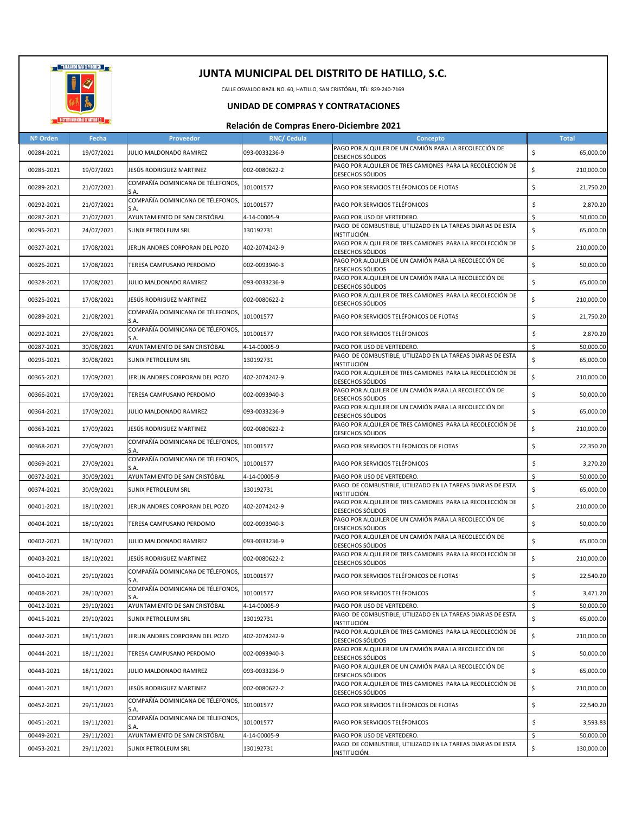

CALLE OSVALDO BAZIL NO. 60, HATILLO, SAN CRISTÓBAL, TÉL: 829-240-7169

### **UNIDAD DE COMPRAS Y CONTRATACIONES**

| Nº Orden   | Fecha      | Proveedor                                 | <b>RNC/ Cedula</b> | Concepto                                                                             | <b>Total</b>     |
|------------|------------|-------------------------------------------|--------------------|--------------------------------------------------------------------------------------|------------------|
| 00284-2021 | 19/07/2021 | JULIO MALDONADO RAMIREZ                   | 093-0033236-9      | PAGO POR ALQUILER DE UN CAMIÓN PARA LA RECOLECCIÓN DE<br><b>DESECHOS SÓLIDOS</b>     | \$<br>65,000.00  |
| 00285-2021 | 19/07/2021 | JESÚS RODRIGUEZ MARTINEZ                  | 002-0080622-2      | PAGO POR ALQUILER DE TRES CAMIONES PARA LA RECOLECCIÓN DE<br><b>DESECHOS SÓLIDOS</b> | \$<br>210,000.00 |
| 00289-2021 | 21/07/2021 | COMPAÑÍA DOMINICANA DE TÉLEFONOS,<br>S.A. | 101001577          | PAGO POR SERVICIOS TELÉFONICOS DE FLOTAS                                             | \$<br>21,750.20  |
| 00292-2021 | 21/07/2021 | COMPAÑÍA DOMINICANA DE TÉLEFONOS,<br>S.A. | 101001577          | PAGO POR SERVICIOS TELÉFONICOS                                                       | \$<br>2,870.20   |
| 00287-2021 | 21/07/2021 | AYUNTAMIENTO DE SAN CRISTÓBAL             | 4-14-00005-9       | PAGO POR USO DE VERTEDERO.                                                           | Ŝ.<br>50,000.00  |
| 00295-2021 | 24/07/2021 | SUNIX PETROLEUM SRL                       | 130192731          | PAGO DE COMBUSTIBLE, UTILIZADO EN LA TAREAS DIARIAS DE ESTA<br>INSTITUCIÓN.          | \$<br>65,000.00  |
| 00327-2021 | 17/08/2021 | JERLIN ANDRES CORPORAN DEL POZO           | 402-2074242-9      | PAGO POR ALQUILER DE TRES CAMIONES PARA LA RECOLECCIÓN DE<br><b>DESECHOS SÓLIDOS</b> | \$<br>210,000.00 |
| 00326-2021 | 17/08/2021 | TERESA CAMPUSANO PERDOMO                  | 002-0093940-3      | PAGO POR ALQUILER DE UN CAMIÓN PARA LA RECOLECCIÓN DE<br><b>DESECHOS SÓLIDOS</b>     | \$<br>50,000.00  |
| 00328-2021 | 17/08/2021 | JULIO MALDONADO RAMIREZ                   | 093-0033236-9      | PAGO POR ALQUILER DE UN CAMIÓN PARA LA RECOLECCIÓN DE<br><b>DESECHOS SÓLIDOS</b>     | \$<br>65,000.00  |
| 00325-2021 | 17/08/2021 | JESÚS RODRIGUEZ MARTINEZ                  | 002-0080622-2      | PAGO POR ALQUILER DE TRES CAMIONES PARA LA RECOLECCIÓN DE<br><b>DESECHOS SÓLIDOS</b> | \$<br>210,000.00 |
| 00289-2021 | 21/08/2021 | COMPAÑÍA DOMINICANA DE TÉLEFONOS,<br>S.A. | 101001577          | PAGO POR SERVICIOS TELÉFONICOS DE FLOTAS                                             | \$<br>21,750.20  |
| 00292-2021 | 27/08/2021 | COMPAÑÍA DOMINICANA DE TÉLEFONOS,<br>S.A. | 101001577          | PAGO POR SERVICIOS TELÉFONICOS                                                       | \$<br>2,870.20   |
| 00287-2021 | 30/08/2021 | AYUNTAMIENTO DE SAN CRISTÓBAL             | 4-14-00005-9       | PAGO POR USO DE VERTEDERO.                                                           | \$<br>50,000.00  |
| 00295-2021 | 30/08/2021 | SUNIX PETROLEUM SRL                       | 130192731          | PAGO DE COMBUSTIBLE, UTILIZADO EN LA TAREAS DIARIAS DE ESTA<br>INSTITUCIÓN.          | \$<br>65,000.00  |
| 00365-2021 | 17/09/2021 | JERLIN ANDRES CORPORAN DEL POZO           | 402-2074242-9      | PAGO POR ALQUILER DE TRES CAMIONES PARA LA RECOLECCIÓN DE<br>DESECHOS SÓLIDOS        | \$<br>210,000.00 |
| 00366-2021 | 17/09/2021 | TERESA CAMPUSANO PERDOMO                  | 002-0093940-3      | PAGO POR ALQUILER DE UN CAMIÓN PARA LA RECOLECCIÓN DE<br>DESECHOS SÓLIDOS            | \$<br>50,000.00  |
| 00364-2021 | 17/09/2021 | JULIO MALDONADO RAMIREZ                   | 093-0033236-9      | PAGO POR ALQUILER DE UN CAMIÓN PARA LA RECOLECCIÓN DE<br><b>DESECHOS SÓLIDOS</b>     | \$<br>65,000.00  |
| 00363-2021 | 17/09/2021 | JESÚS RODRIGUEZ MARTINEZ                  | 002-0080622-2      | PAGO POR ALQUILER DE TRES CAMIONES PARA LA RECOLECCIÓN DE<br><b>DESECHOS SÓLIDOS</b> | \$<br>210,000.00 |
| 00368-2021 | 27/09/2021 | COMPAÑÍA DOMINICANA DE TÉLEFONOS,<br>S.A. | 101001577          | PAGO POR SERVICIOS TELÉFONICOS DE FLOTAS                                             | \$<br>22,350.20  |
| 00369-2021 | 27/09/2021 | COMPAÑÍA DOMINICANA DE TÉLEFONOS,<br>S.A. | 101001577          | PAGO POR SERVICIOS TELÉFONICOS                                                       | \$<br>3,270.20   |
| 00372-2021 | 30/09/2021 | AYUNTAMIENTO DE SAN CRISTÓBAL             | 4-14-00005-9       | PAGO POR USO DE VERTEDERO.                                                           | 50,000.00<br>\$  |
| 00374-2021 | 30/09/2021 | SUNIX PETROLEUM SRL                       | 130192731          | PAGO DE COMBUSTIBLE, UTILIZADO EN LA TAREAS DIARIAS DE ESTA<br>INSTITUCIÓN.          | \$<br>65,000.00  |
| 00401-2021 | 18/10/2021 | JERLIN ANDRES CORPORAN DEL POZO           | 402-2074242-9      | PAGO POR ALQUILER DE TRES CAMIONES PARA LA RECOLECCIÓN DE<br><b>DESECHOS SÓLIDOS</b> | \$<br>210,000.00 |
| 00404-2021 | 18/10/2021 | TERESA CAMPUSANO PERDOMO                  | 002-0093940-3      | PAGO POR ALQUILER DE UN CAMIÓN PARA LA RECOLECCIÓN DE<br><b>DESECHOS SÓLIDOS</b>     | \$<br>50,000.00  |
| 00402-2021 | 18/10/2021 | JULIO MALDONADO RAMIREZ                   | 093-0033236-9      | PAGO POR ALQUILER DE UN CAMIÓN PARA LA RECOLECCIÓN DE<br><b>DESECHOS SÓLIDOS</b>     | \$<br>65,000.00  |
| 00403-2021 | 18/10/2021 | JESÚS RODRIGUEZ MARTINEZ                  | 002-0080622-2      | PAGO POR ALQUILER DE TRES CAMIONES PARA LA RECOLECCIÓN DE<br><b>DESECHOS SÓLIDOS</b> | \$<br>210,000.00 |
| 00410-2021 | 29/10/2021 | COMPAÑÍA DOMINICANA DE TÉLEFONOS,<br>S.A. | 101001577          | PAGO POR SERVICIOS TELÉFONICOS DE FLOTAS                                             | \$<br>22,540.20  |
| 00408-2021 | 28/10/2021 | COMPAÑÍA DOMINICANA DE TÉLEFONOS,<br>S.A. | 101001577          | PAGO POR SERVICIOS TELEFONICOS                                                       | Ş<br>3,471.20    |
| 00412-2021 | 29/10/2021 | AYUNTAMIENTO DE SAN CRISTÓBAL             | 4-14-00005-9       | PAGO POR USO DE VERTEDERO.                                                           | \$<br>50,000.00  |
| 00415-2021 | 29/10/2021 | <b>SUNIX PETROLEUM SRL</b>                | 130192731          | PAGO DE COMBUSTIBLE, UTILIZADO EN LA TAREAS DIARIAS DE ESTA<br>INSTITUCIÓN.          | \$<br>65,000.00  |
| 00442-2021 | 18/11/2021 | JERLIN ANDRES CORPORAN DEL POZO           | 402-2074242-9      | PAGO POR ALQUILER DE TRES CAMIONES PARA LA RECOLECCIÓN DE<br><b>DESECHOS SÓLIDOS</b> | \$<br>210,000.00 |
| 00444-2021 | 18/11/2021 | TERESA CAMPUSANO PERDOMO                  | 002-0093940-3      | PAGO POR ALQUILER DE UN CAMIÓN PARA LA RECOLECCIÓN DE<br><b>DESECHOS SÓLIDOS</b>     | \$<br>50,000.00  |
| 00443-2021 | 18/11/2021 | JULIO MALDONADO RAMIREZ                   | 093-0033236-9      | PAGO POR ALQUILER DE UN CAMIÓN PARA LA RECOLECCIÓN DE<br><b>DESECHOS SÓLIDOS</b>     | \$<br>65,000.00  |
| 00441-2021 | 18/11/2021 | JESÚS RODRIGUEZ MARTINEZ                  | 002-0080622-2      | PAGO POR ALQUILER DE TRES CAMIONES PARA LA RECOLECCIÓN DE<br><b>DESECHOS SÓLIDOS</b> | \$<br>210,000.00 |
| 00452-2021 | 29/11/2021 | COMPAÑÍA DOMINICANA DE TÉLEFONOS,<br>S.A. | 101001577          | PAGO POR SERVICIOS TELÉFONICOS DE FLOTAS                                             | \$<br>22,540.20  |
| 00451-2021 | 19/11/2021 | COMPAÑÍA DOMINICANA DE TÉLEFONOS,<br>S.A. | 101001577          | PAGO POR SERVICIOS TELÉFONICOS                                                       | \$<br>3,593.83   |
| 00449-2021 | 29/11/2021 | AYUNTAMIENTO DE SAN CRISTÓBAL             | 4-14-00005-9       | PAGO POR USO DE VERTEDERO.                                                           | 50,000.00<br>\$  |
| 00453-2021 | 29/11/2021 | SUNIX PETROLEUM SRL                       | 130192731          | PAGO DE COMBUSTIBLE, UTILIZADO EN LA TAREAS DIARIAS DE ESTA                          | \$<br>130,000.00 |
|            |            |                                           |                    | INSTITUCIÓN.                                                                         |                  |